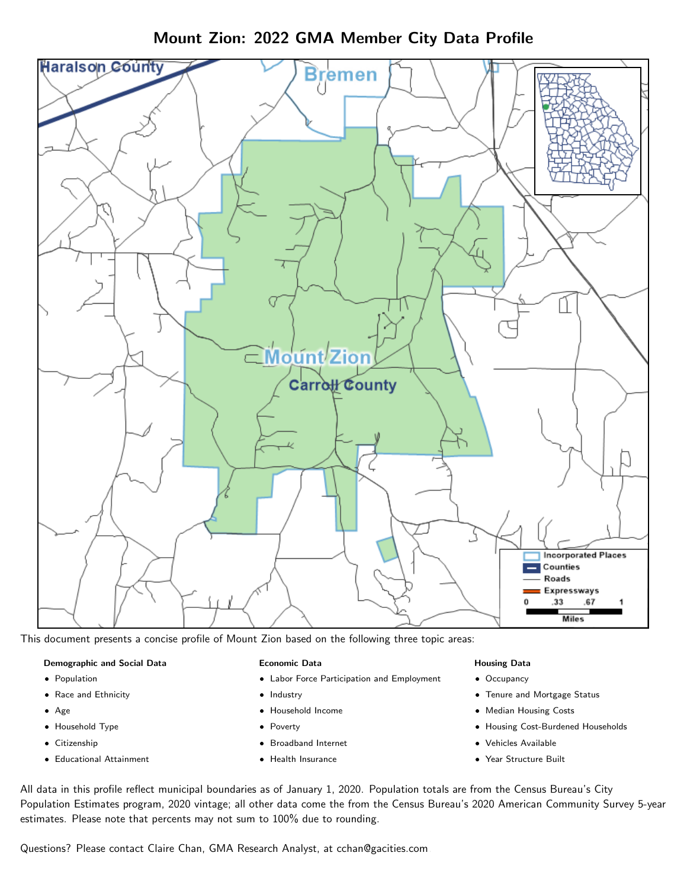Mount Zion: 2022 GMA Member City Data Profile



This document presents a concise profile of Mount Zion based on the following three topic areas:

#### Demographic and Social Data

- **•** Population
- Race and Ethnicity
- Age
- Household Type
- **Citizenship**
- Educational Attainment

## Economic Data

- Labor Force Participation and Employment
- Industry
- Household Income
- Poverty
- Broadband Internet
- Health Insurance

#### Housing Data

- Occupancy
- Tenure and Mortgage Status
- Median Housing Costs
- Housing Cost-Burdened Households
- Vehicles Available
- Year Structure Built

All data in this profile reflect municipal boundaries as of January 1, 2020. Population totals are from the Census Bureau's City Population Estimates program, 2020 vintage; all other data come the from the Census Bureau's 2020 American Community Survey 5-year estimates. Please note that percents may not sum to 100% due to rounding.

Questions? Please contact Claire Chan, GMA Research Analyst, at [cchan@gacities.com.](mailto:cchan@gacities.com)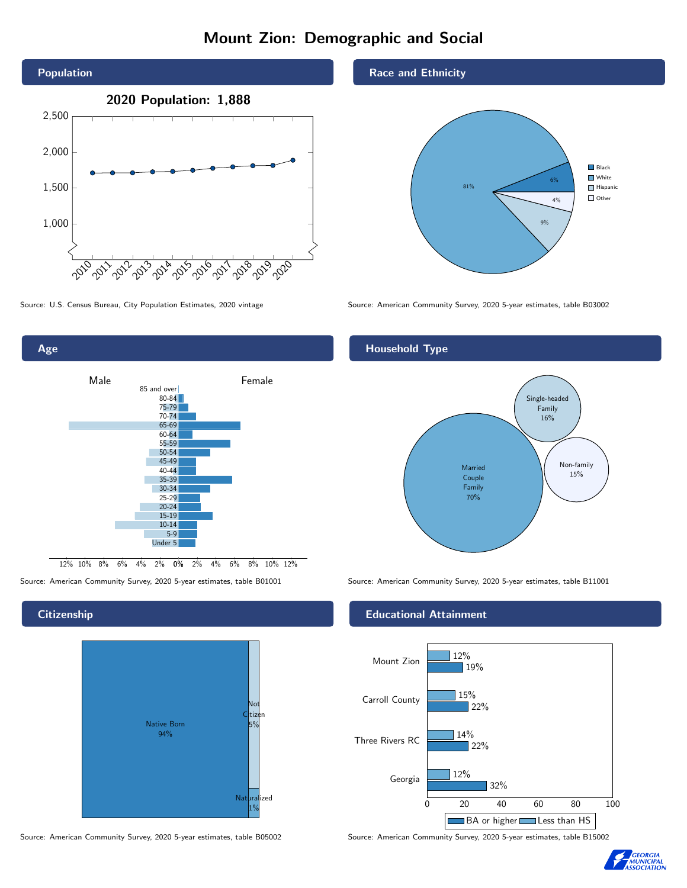# Mount Zion: Demographic and Social



0% 2% 4% 6% 8% 10% 12% 12% 10% 8% 6% 4% 2% Male **Female** 85 and over 80-84 75-79 70-74 65-69 60-64 55-59 50-54 45-49 40-44 35-39 30-34 25-29 20-24 15-19 10-14 5-9 Under 5

## **Citizenship**

Age



Source: American Community Survey, 2020 5-year estimates, table B05002 Source: American Community Survey, 2020 5-year estimates, table B15002

### Race and Ethnicity



Source: U.S. Census Bureau, City Population Estimates, 2020 vintage Source: American Community Survey, 2020 5-year estimates, table B03002

## Household Type



Source: American Community Survey, 2020 5-year estimates, table B01001 Source: American Community Survey, 2020 5-year estimates, table B11001

## Educational Attainment



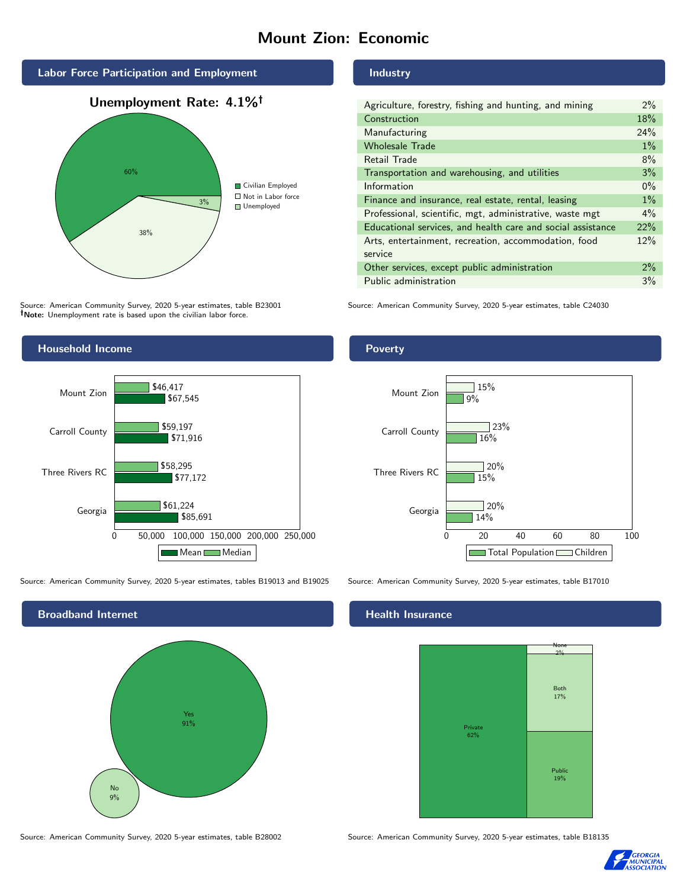# Mount Zion: Economic



Source: American Community Survey, 2020 5-year estimates, table B23001 Note: Unemployment rate is based upon the civilian labor force.

## Industry

| Agriculture, forestry, fishing and hunting, and mining      | 2%    |
|-------------------------------------------------------------|-------|
| Construction                                                | 18%   |
| Manufacturing                                               | 24%   |
| <b>Wholesale Trade</b>                                      | $1\%$ |
| Retail Trade                                                | 8%    |
| Transportation and warehousing, and utilities               | 3%    |
| Information                                                 | $0\%$ |
| Finance and insurance, real estate, rental, leasing         | $1\%$ |
| Professional, scientific, mgt, administrative, waste mgt    | $4\%$ |
| Educational services, and health care and social assistance | 22%   |
| Arts, entertainment, recreation, accommodation, food        | 12%   |
| service                                                     |       |
| Other services, except public administration                | $2\%$ |
| Public administration                                       | 3%    |

Source: American Community Survey, 2020 5-year estimates, table C24030



Source: American Community Survey, 2020 5-year estimates, tables B19013 and B19025 Source: American Community Survey, 2020 5-year estimates, table B17010



## Poverty



## Health Insurance



Source: American Community Survey, 2020 5-year estimates, table B28002 Source: American Community Survey, 2020 5-year estimates, table B18135